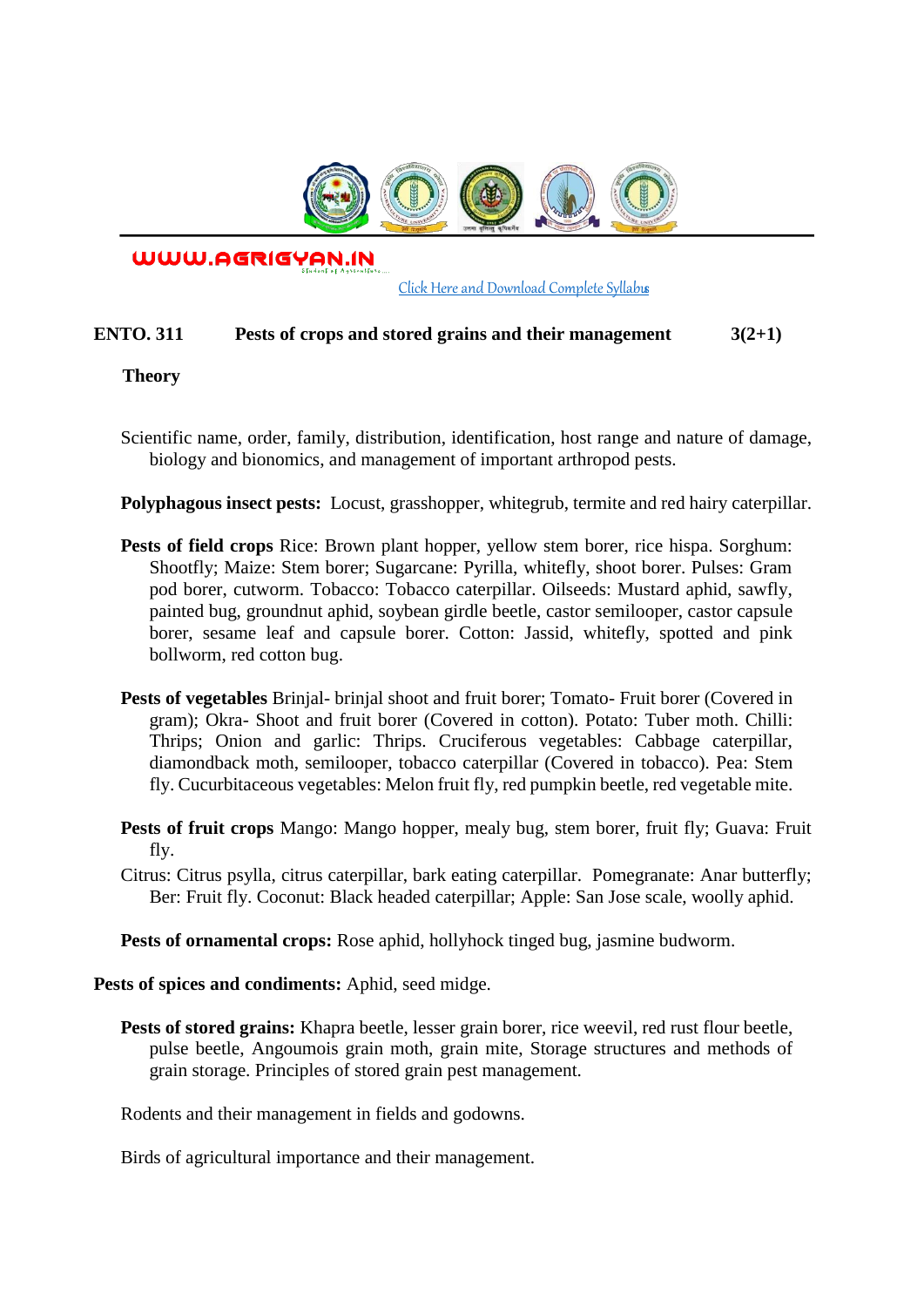

WWW.AGRIGYAN.IN

[Click Here and Download Complete Syllabus](http://agrigyan.in/)

## **ENTO. 311** Pests of crops and stored grains and their management  $3(2+1)$

### **Theory**

 $\overline{a}$ 

- Scientific name, order, family, distribution, identification, host range and nature of damage, biology and bionomics, and management of important arthropod pests.
- **Polyphagous insect pests:** Locust, grasshopper, whitegrub, termite and red hairy caterpillar.
- **Pests of field crops** Rice: Brown plant hopper, yellow stem borer, rice hispa. Sorghum: Shootfly; Maize: Stem borer; Sugarcane: Pyrilla, whitefly, shoot borer. Pulses: Gram pod borer, cutworm. Tobacco: Tobacco caterpillar. Oilseeds: Mustard aphid, sawfly, painted bug, groundnut aphid, soybean girdle beetle, castor semilooper, castor capsule borer, sesame leaf and capsule borer. Cotton: Jassid, whitefly, spotted and pink bollworm, red cotton bug.
- **Pests of vegetables** Brinjal- brinjal shoot and fruit borer; Tomato- Fruit borer (Covered in gram); Okra- Shoot and fruit borer (Covered in cotton). Potato: Tuber moth. Chilli: Thrips; Onion and garlic: Thrips. Cruciferous vegetables: Cabbage caterpillar, diamondback moth, semilooper, tobacco caterpillar (Covered in tobacco). Pea: Stem fly. Cucurbitaceous vegetables: Melon fruit fly, red pumpkin beetle, red vegetable mite.
- **Pests of fruit crops** Mango: Mango hopper, mealy bug, stem borer, fruit fly; Guava: Fruit fly.
- Citrus: Citrus psylla, citrus caterpillar, bark eating caterpillar. Pomegranate: Anar butterfly; Ber: Fruit fly. Coconut: Black headed caterpillar; Apple: San Jose scale, woolly aphid.

Pests of ornamental crops: Rose aphid, hollyhock tinged bug, jasmine budworm.

**Pests of spices and condiments:** Aphid, seed midge.

**Pests of stored grains:** Khapra beetle, lesser grain borer, rice weevil, red rust flour beetle, pulse beetle, Angoumois grain moth, grain mite, Storage structures and methods of grain storage. Principles of stored grain pest management.

Rodents and their management in fields and godowns.

Birds of agricultural importance and their management.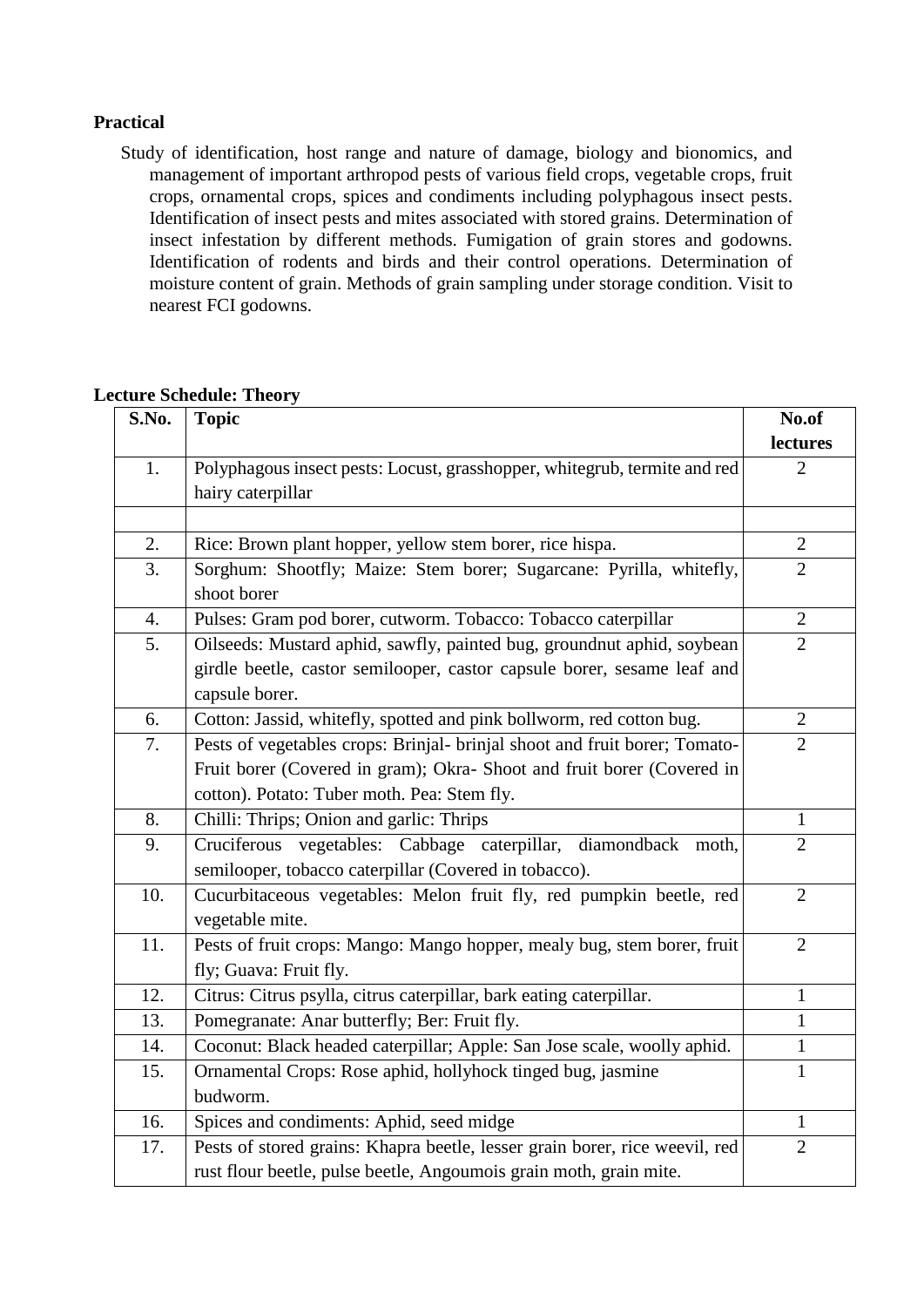### **Practical**

Study of identification, host range and nature of damage, biology and bionomics, and management of important arthropod pests of various field crops, vegetable crops, fruit crops, ornamental crops, spices and condiments including polyphagous insect pests. Identification of insect pests and mites associated with stored grains. Determination of insect infestation by different methods. Fumigation of grain stores and godowns. Identification of rodents and birds and their control operations. Determination of moisture content of grain. Methods of grain sampling under storage condition. Visit to nearest FCI godowns.

| S.No.            | <b>Topic</b>                                                                       | No.of          |
|------------------|------------------------------------------------------------------------------------|----------------|
|                  |                                                                                    | lectures       |
| 1.               | Polyphagous insect pests: Locust, grasshopper, whitegrub, termite and red          | $\overline{2}$ |
|                  | hairy caterpillar                                                                  |                |
|                  |                                                                                    |                |
| 2.               | Rice: Brown plant hopper, yellow stem borer, rice hispa.                           | $\overline{2}$ |
| 3.               | Sorghum: Shootfly; Maize: Stem borer; Sugarcane: Pyrilla, whitefly,<br>shoot borer | $\overline{2}$ |
| $\overline{4}$ . | Pulses: Gram pod borer, cutworm. Tobacco: Tobacco caterpillar                      | $\overline{2}$ |
| 5.               | Oilseeds: Mustard aphid, sawfly, painted bug, groundnut aphid, soybean             | $\overline{2}$ |
|                  | girdle beetle, castor semilooper, castor capsule borer, sesame leaf and            |                |
|                  | capsule borer.                                                                     |                |
| 6.               | Cotton: Jassid, whitefly, spotted and pink bollworm, red cotton bug.               | $\overline{2}$ |
| 7.               | Pests of vegetables crops: Brinjal- brinjal shoot and fruit borer; Tomato-         | $\overline{2}$ |
|                  | Fruit borer (Covered in gram); Okra- Shoot and fruit borer (Covered in             |                |
|                  | cotton). Potato: Tuber moth. Pea: Stem fly.                                        |                |
| 8.               | Chilli: Thrips; Onion and garlic: Thrips                                           | $\mathbf{1}$   |
| 9.               | vegetables: Cabbage caterpillar, diamondback<br>Cruciferous<br>moth,               | $\overline{2}$ |
|                  | semilooper, tobacco caterpillar (Covered in tobacco).                              |                |
| 10.              | Cucurbitaceous vegetables: Melon fruit fly, red pumpkin beetle, red                | 2              |
|                  | vegetable mite.                                                                    |                |
| 11.              | Pests of fruit crops: Mango: Mango hopper, mealy bug, stem borer, fruit            | $\overline{2}$ |
|                  | fly; Guava: Fruit fly.                                                             |                |
| 12.              | Citrus: Citrus psylla, citrus caterpillar, bark eating caterpillar.                | $\mathbf{1}$   |
| 13.              | Pomegranate: Anar butterfly; Ber: Fruit fly.                                       | 1              |
| 14.              | Coconut: Black headed caterpillar; Apple: San Jose scale, woolly aphid.            | $\mathbf{1}$   |
| 15.              | Ornamental Crops: Rose aphid, hollyhock tinged bug, jasmine                        | $\mathbf{1}$   |
|                  | budworm.                                                                           |                |
| 16.              | Spices and condiments: Aphid, seed midge                                           | $\mathbf{1}$   |
| 17.              | Pests of stored grains: Khapra beetle, lesser grain borer, rice weevil, red        | $\overline{2}$ |
|                  | rust flour beetle, pulse beetle, Angoumois grain moth, grain mite.                 |                |

#### **Lecture Schedule: Theory**